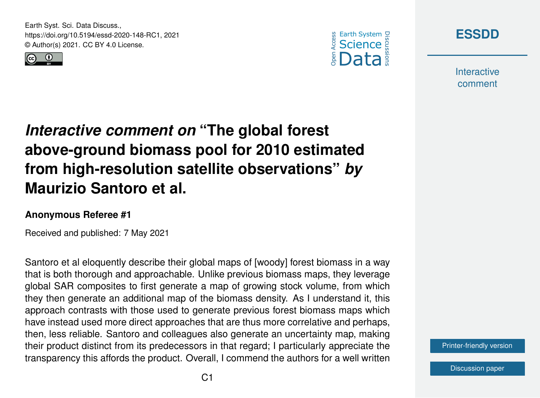Earth Syst. Sci. Data Discuss., https://doi.org/10.5194/essd-2020-148-RC1, 2021 © Author(s) 2021. CC BY 4.0 License.







**Interactive** comment

## *Interactive comment on* **"The global forest above-ground biomass pool for 2010 estimated from high-resolution satellite observations"** *by* **Maurizio Santoro et al.**

## **Anonymous Referee #1**

Received and published: 7 May 2021

Santoro et al eloquently describe their global maps of [woody] forest biomass in a way that is both thorough and approachable. Unlike previous biomass maps, they leverage global SAR composites to first generate a map of growing stock volume, from which they then generate an additional map of the biomass density. As I understand it, this approach contrasts with those used to generate previous forest biomass maps which have instead used more direct approaches that are thus more correlative and perhaps, then, less reliable. Santoro and colleagues also generate an uncertainty map, making their product distinct from its predecessors in that regard; I particularly appreciate the transparency this affords the product. Overall, I commend the authors for a well written

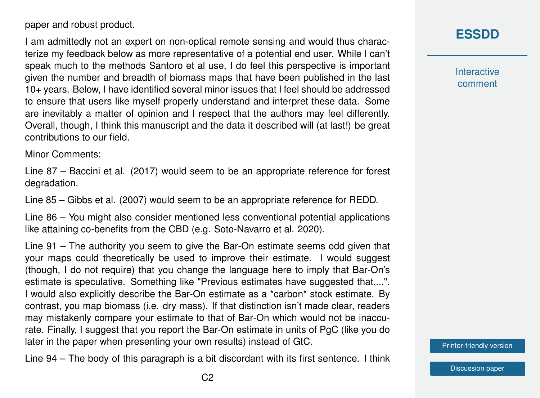paper and robust product.

I am admittedly not an expert on non-optical remote sensing and would thus characterize my feedback below as more representative of a potential end user. While I can't speak much to the methods Santoro et al use, I do feel this perspective is important given the number and breadth of biomass maps that have been published in the last 10+ years. Below, I have identified several minor issues that I feel should be addressed to ensure that users like myself properly understand and interpret these data. Some are inevitably a matter of opinion and I respect that the authors may feel differently. Overall, though, I think this manuscript and the data it described will (at last!) be great contributions to our field.

Minor Comments:

Line 87 – Baccini et al. (2017) would seem to be an appropriate reference for forest degradation.

Line 85 – Gibbs et al. (2007) would seem to be an appropriate reference for REDD.

Line 86 – You might also consider mentioned less conventional potential applications like attaining co-benefits from the CBD (e.g. Soto-Navarro et al. 2020).

Line 91 – The authority you seem to give the Bar-On estimate seems odd given that your maps could theoretically be used to improve their estimate. I would suggest (though, I do not require) that you change the language here to imply that Bar-On's estimate is speculative. Something like "Previous estimates have suggested that....". I would also explicitly describe the Bar-On estimate as a \*carbon\* stock estimate. By contrast, you map biomass (i.e. dry mass). If that distinction isn't made clear, readers may mistakenly compare your estimate to that of Bar-On which would not be inaccurate. Finally, I suggest that you report the Bar-On estimate in units of PgC (like you do later in the paper when presenting your own results) instead of GtC.

Line 94 – The body of this paragraph is a bit discordant with its first sentence. I think

**Interactive** comment

[Printer-friendly version](https://essd.copernicus.org/preprints/essd-2020-148/essd-2020-148-RC1-print.pdf)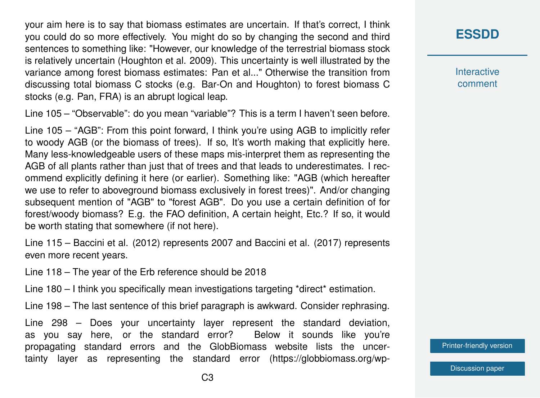your aim here is to say that biomass estimates are uncertain. If that's correct, I think you could do so more effectively. You might do so by changing the second and third sentences to something like: "However, our knowledge of the terrestrial biomass stock is relatively uncertain (Houghton et al. 2009). This uncertainty is well illustrated by the variance among forest biomass estimates: Pan et al..." Otherwise the transition from discussing total biomass C stocks (e.g. Bar-On and Houghton) to forest biomass C stocks (e.g. Pan, FRA) is an abrupt logical leap.

Line 105 – "Observable": do you mean "variable"? This is a term I haven't seen before.

Line 105 – "AGB": From this point forward, I think you're using AGB to implicitly refer to woody AGB (or the biomass of trees). If so, It's worth making that explicitly here. Many less-knowledgeable users of these maps mis-interpret them as representing the AGB of all plants rather than just that of trees and that leads to underestimates. I recommend explicitly defining it here (or earlier). Something like: "AGB (which hereafter we use to refer to aboveground biomass exclusively in forest trees)". And/or changing subsequent mention of "AGB" to "forest AGB". Do you use a certain definition of for forest/woody biomass? E.g. the FAO definition, A certain height, Etc.? If so, it would be worth stating that somewhere (if not here).

Line 115 – Baccini et al. (2012) represents 2007 and Baccini et al. (2017) represents even more recent years.

Line 118 – The year of the Erb reference should be 2018

Line 180 – I think you specifically mean investigations targeting \*direct\* estimation.

Line 198 – The last sentence of this brief paragraph is awkward. Consider rephrasing.

Line 298 – Does your uncertainty layer represent the standard deviation, as you say here, or the standard error? Below it sounds like you're propagating standard errors and the GlobBiomass website lists the uncertainty layer as representing the standard error (https://globbiomass.org/wp-

## **[ESSDD](https://essd.copernicus.org/preprints/)**

**Interactive** comment

[Printer-friendly version](https://essd.copernicus.org/preprints/essd-2020-148/essd-2020-148-RC1-print.pdf)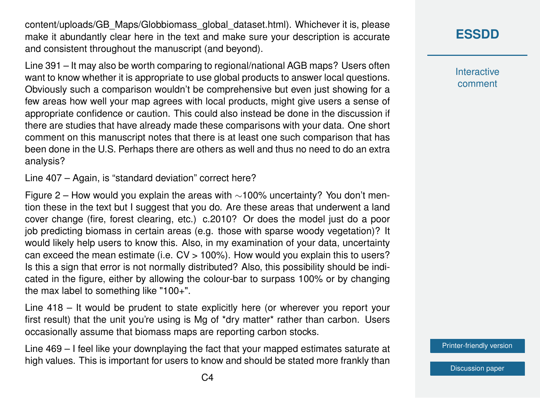content/uploads/GB\_Maps/Globbiomass\_global\_dataset.html). Whichever it is, please make it abundantly clear here in the text and make sure your description is accurate and consistent throughout the manuscript (and beyond).

Line 391 – It may also be worth comparing to regional/national AGB maps? Users often want to know whether it is appropriate to use global products to answer local questions. Obviously such a comparison wouldn't be comprehensive but even just showing for a few areas how well your map agrees with local products, might give users a sense of appropriate confidence or caution. This could also instead be done in the discussion if there are studies that have already made these comparisons with your data. One short comment on this manuscript notes that there is at least one such comparison that has been done in the U.S. Perhaps there are others as well and thus no need to do an extra analysis?

Line 407 – Again, is "standard deviation" correct here?

Figure 2 – How would you explain the areas with ∼100% uncertainty? You don't mention these in the text but I suggest that you do. Are these areas that underwent a land cover change (fire, forest clearing, etc.) c.2010? Or does the model just do a poor job predicting biomass in certain areas (e.g. those with sparse woody vegetation)? It would likely help users to know this. Also, in my examination of your data, uncertainty can exceed the mean estimate (i.e.  $CV > 100\%$ ). How would you explain this to users? Is this a sign that error is not normally distributed? Also, this possibility should be indicated in the figure, either by allowing the colour-bar to surpass 100% or by changing the max label to something like "100+".

Line 418 – It would be prudent to state explicitly here (or wherever you report your first result) that the unit you're using is Mg of \*dry matter\* rather than carbon. Users occasionally assume that biomass maps are reporting carbon stocks.

Line 469 – I feel like your downplaying the fact that your mapped estimates saturate at high values. This is important for users to know and should be stated more frankly than

**[ESSDD](https://essd.copernicus.org/preprints/)**

**Interactive** comment

[Printer-friendly version](https://essd.copernicus.org/preprints/essd-2020-148/essd-2020-148-RC1-print.pdf)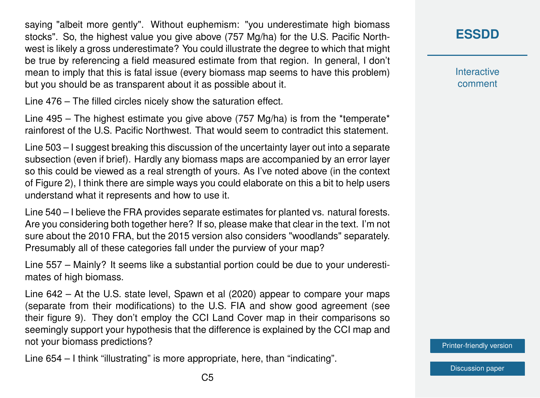saying "albeit more gently". Without euphemism: "you underestimate high biomass stocks". So, the highest value you give above (757 Mg/ha) for the U.S. Pacific Northwest is likely a gross underestimate? You could illustrate the degree to which that might be true by referencing a field measured estimate from that region. In general, I don't mean to imply that this is fatal issue (every biomass map seems to have this problem) but you should be as transparent about it as possible about it.

Line 476 – The filled circles nicely show the saturation effect.

Line 495 – The highest estimate you give above (757 Mg/ha) is from the \*temperate\* rainforest of the U.S. Pacific Northwest. That would seem to contradict this statement.

Line 503 – I suggest breaking this discussion of the uncertainty layer out into a separate subsection (even if brief). Hardly any biomass maps are accompanied by an error layer so this could be viewed as a real strength of yours. As I've noted above (in the context of Figure 2), I think there are simple ways you could elaborate on this a bit to help users understand what it represents and how to use it.

Line 540 – I believe the FRA provides separate estimates for planted vs. natural forests. Are you considering both together here? If so, please make that clear in the text. I'm not sure about the 2010 FRA, but the 2015 version also considers "woodlands" separately. Presumably all of these categories fall under the purview of your map?

Line 557 – Mainly? It seems like a substantial portion could be due to your underestimates of high biomass.

Line 642 – At the U.S. state level, Spawn et al (2020) appear to compare your maps (separate from their modifications) to the U.S. FIA and show good agreement (see their figure 9). They don't employ the CCI Land Cover map in their comparisons so seemingly support your hypothesis that the difference is explained by the CCI map and not your biomass predictions?

Line 654 – I think "illustrating" is more appropriate, here, than "indicating".

**[ESSDD](https://essd.copernicus.org/preprints/)**

**Interactive** comment

[Printer-friendly version](https://essd.copernicus.org/preprints/essd-2020-148/essd-2020-148-RC1-print.pdf)